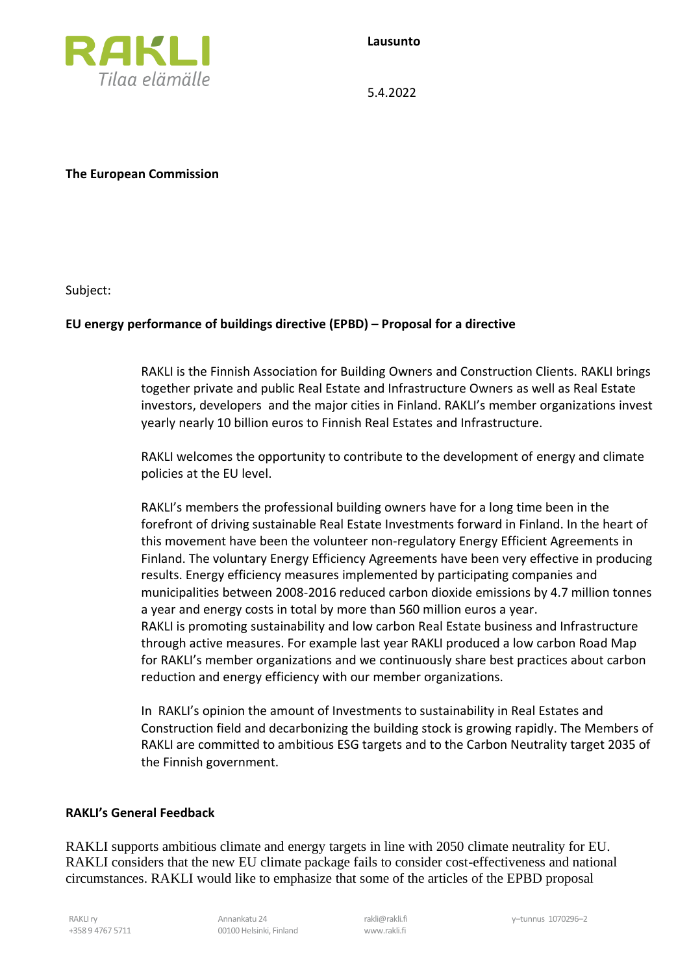



5.4.2022

**The European Commission**

Subject:

## **EU energy performance of buildings directive (EPBD) – Proposal for a directive**

RAKLI is the Finnish Association for Building Owners and Construction Clients. RAKLI brings together private and public Real Estate and Infrastructure Owners as well as Real Estate investors, developers and the major cities in Finland. RAKLI's member organizations invest yearly nearly 10 billion euros to Finnish Real Estates and Infrastructure.

RAKLI welcomes the opportunity to contribute to the development of energy and climate policies at the EU level.

RAKLI's members the professional building owners have for a long time been in the forefront of driving sustainable Real Estate Investments forward in Finland. In the heart of this movement have been the volunteer non-regulatory Energy Efficient Agreements in Finland. The voluntary Energy Efficiency Agreements have been very effective in producing results. Energy efficiency measures implemented by participating companies and municipalities between 2008-2016 reduced carbon dioxide emissions by 4.7 million tonnes a year and energy costs in total by more than 560 million euros a year. RAKLI is promoting sustainability and low carbon Real Estate business and Infrastructure through active measures. For example last year RAKLI produced a low carbon Road Map for RAKLI's member organizations and we continuously share best practices about carbon reduction and energy efficiency with our member organizations.

In RAKLI's opinion the amount of Investments to sustainability in Real Estates and Construction field and decarbonizing the building stock is growing rapidly. The Members of RAKLI are committed to ambitious ESG targets and to the Carbon Neutrality target 2035 of the Finnish government.

## **RAKLI's General Feedback**

RAKLI supports ambitious climate and energy targets in line with 2050 climate neutrality for EU. RAKLI considers that the new EU climate package fails to consider cost-effectiveness and national circumstances. RAKLI would like to emphasize that some of the articles of the EPBD proposal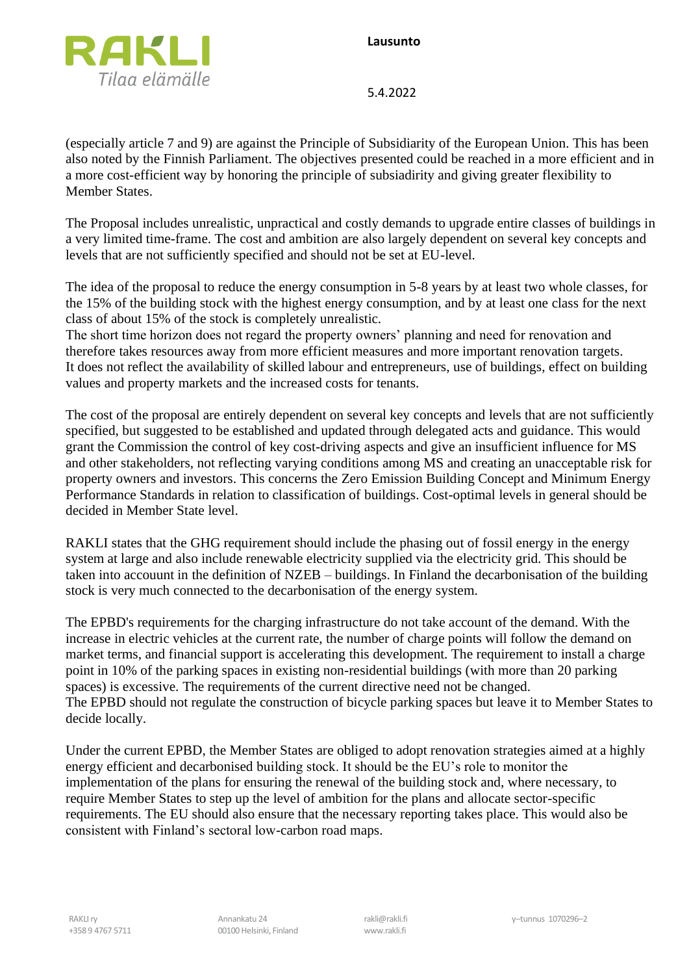**Lausunto**



5.4.2022

(especially article 7 and 9) are against the Principle of Subsidiarity of the European Union. This has been also noted by the Finnish Parliament. The objectives presented could be reached in a more efficient and in a more cost-efficient way by honoring the principle of subsiadirity and giving greater flexibility to Member States.

The Proposal includes unrealistic, unpractical and costly demands to upgrade entire classes of buildings in a very limited time-frame. The cost and ambition are also largely dependent on several key concepts and levels that are not sufficiently specified and should not be set at EU-level.

The idea of the proposal to reduce the energy consumption in 5-8 years by at least two whole classes, for the 15% of the building stock with the highest energy consumption, and by at least one class for the next class of about 15% of the stock is completely unrealistic.

The short time horizon does not regard the property owners' planning and need for renovation and therefore takes resources away from more efficient measures and more important renovation targets. It does not reflect the availability of skilled labour and entrepreneurs, use of buildings, effect on building values and property markets and the increased costs for tenants.

The cost of the proposal are entirely dependent on several key concepts and levels that are not sufficiently specified, but suggested to be established and updated through delegated acts and guidance. This would grant the Commission the control of key cost-driving aspects and give an insufficient influence for MS and other stakeholders, not reflecting varying conditions among MS and creating an unacceptable risk for property owners and investors. This concerns the Zero Emission Building Concept and Minimum Energy Performance Standards in relation to classification of buildings. Cost-optimal levels in general should be decided in Member State level.

RAKLI states that the GHG requirement should include the phasing out of fossil energy in the energy system at large and also include renewable electricity supplied via the electricity grid. This should be taken into accouunt in the definition of NZEB – buildings. In Finland the decarbonisation of the building stock is very much connected to the decarbonisation of the energy system.

The EPBD's requirements for the charging infrastructure do not take account of the demand. With the increase in electric vehicles at the current rate, the number of charge points will follow the demand on market terms, and financial support is accelerating this development. The requirement to install a charge point in 10% of the parking spaces in existing non-residential buildings (with more than 20 parking spaces) is excessive. The requirements of the current directive need not be changed. The EPBD should not regulate the construction of bicycle parking spaces but leave it to Member States to decide locally.

Under the current EPBD, the Member States are obliged to adopt renovation strategies aimed at a highly energy efficient and decarbonised building stock. It should be the EU's role to monitor the implementation of the plans for ensuring the renewal of the building stock and, where necessary, to require Member States to step up the level of ambition for the plans and allocate sector-specific requirements. The EU should also ensure that the necessary reporting takes place. This would also be consistent with Finland's sectoral low-carbon road maps.